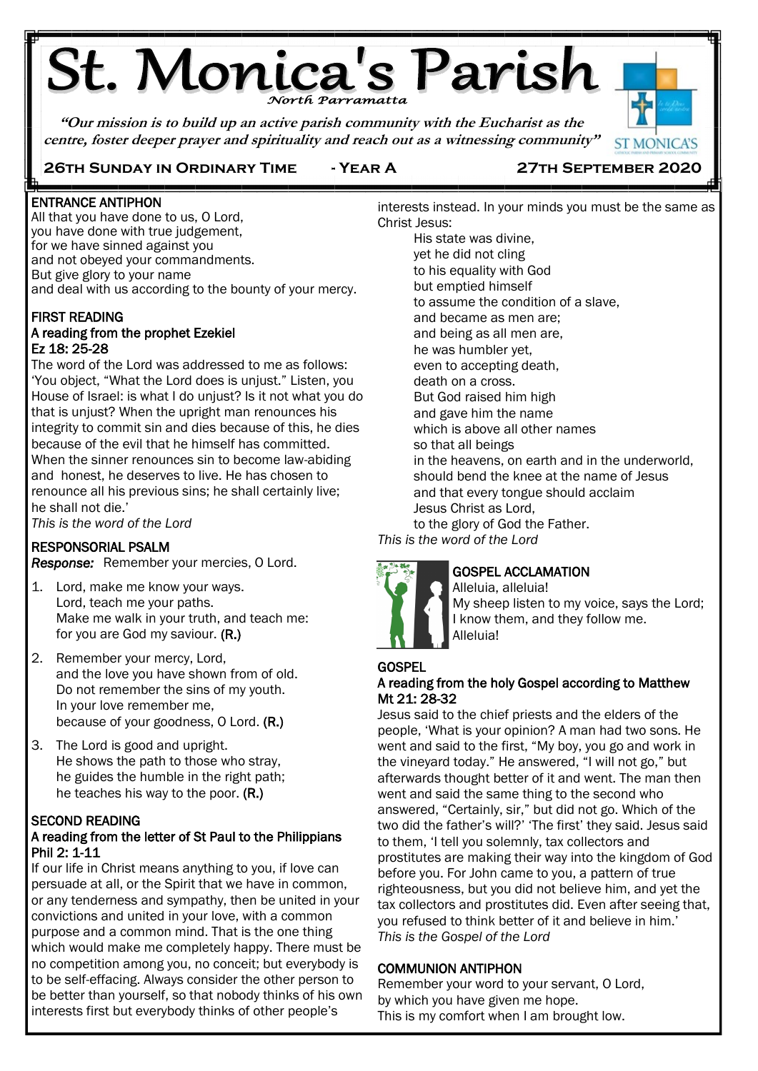# **St. Monica's Parish**

**"Our mission is to build up an active parish community with the Eucharist as the centre, foster deeper prayer and spirituality and reach out as a witnessing community"**



## **26th Sunday in Ordinary Time - Year A 27th September 2020**

ENTRANCE ANTIPHON

Ë

All that you have done to us, O Lord, you have done with true judgement, for we have sinned against you and not obeyed your commandments. But give glory to your name and deal with us according to the bounty of your mercy.

#### FIRST READING A reading from the prophet Ezekiel Ez 18: 25-28

The word of the Lord was addressed to me as follows: 'You object, "What the Lord does is unjust." Listen, you House of Israel: is what I do unjust? Is it not what you do that is unjust? When the upright man renounces his integrity to commit sin and dies because of this, he dies because of the evil that he himself has committed. When the sinner renounces sin to become law-abiding and honest, he deserves to live. He has chosen to renounce all his previous sins; he shall certainly live; he shall not die.'

*This is the word of the Lord* j

## RESPONSORIAL PSALM

*Response:* Remember your mercies, O Lord.

- 1. Lord, make me know your ways. Lord, teach me your paths. Make me walk in your truth, and teach me: for you are God my saviour. (R.)
- 2. Remember your mercy, Lord, and the love you have shown from of old. Do not remember the sins of my youth. In your love remember me, because of your goodness, O Lord. (R.)
- 3. The Lord is good and upright. He shows the path to those who stray, he guides the humble in the right path; he teaches his way to the poor. (R.)

## SECOND READING

## A reading from the letter of St Paul to the Philippians Phil 2: 1-11

If our life in Christ means anything to you, if love can persuade at all, or the Spirit that we have in common, or any tenderness and sympathy, then be united in your convictions and united in your love, with a common purpose and a common mind. That is the one thing which would make me completely happy. There must be no competition among you, no conceit; but everybody is to be self-effacing. Always consider the other person to be better than yourself, so that nobody thinks of his own interests first but everybody thinks of other people's

interests instead. In your minds you must be the same as Christ Jesus: His state was divine,

yet he did not cling to his equality with God but emptied himself to assume the condition of a slave, and became as men are; and being as all men are, he was humbler yet, even to accepting death, death on a cross. But God raised him high and gave him the name which is above all other names so that all beings in the heavens, on earth and in the underworld, should bend the knee at the name of Jesus and that every tongue should acclaim Jesus Christ as Lord, to the glory of God the Father.

*This is the word of the Lord*



## GOSPEL ACCLAMATION

Alleluia, alleluia! My sheep listen to my voice, says the Lord; I know them, and they follow me. Alleluia!

## **GOSPEL**

#### A reading from the holy Gospel according to Matthew Mt 21: 28-32

Jesus said to the chief priests and the elders of the people, 'What is your opinion? A man had two sons. He went and said to the first, "My boy, you go and work in the vineyard today." He answered, "I will not go," but afterwards thought better of it and went. The man then went and said the same thing to the second who answered, "Certainly, sir," but did not go. Which of the two did the father's will?' 'The first' they said. Jesus said to them, 'I tell you solemnly, tax collectors and prostitutes are making their way into the kingdom of God before you. For John came to you, a pattern of true righteousness, but you did not believe him, and yet the tax collectors and prostitutes did. Even after seeing that, you refused to think better of it and believe in him.' *This is the Gospel of the Lord*

## COMMUNION ANTIPHON

Remember your word to your servant, O Lord, by which you have given me hope. This is my comfort when I am brought low.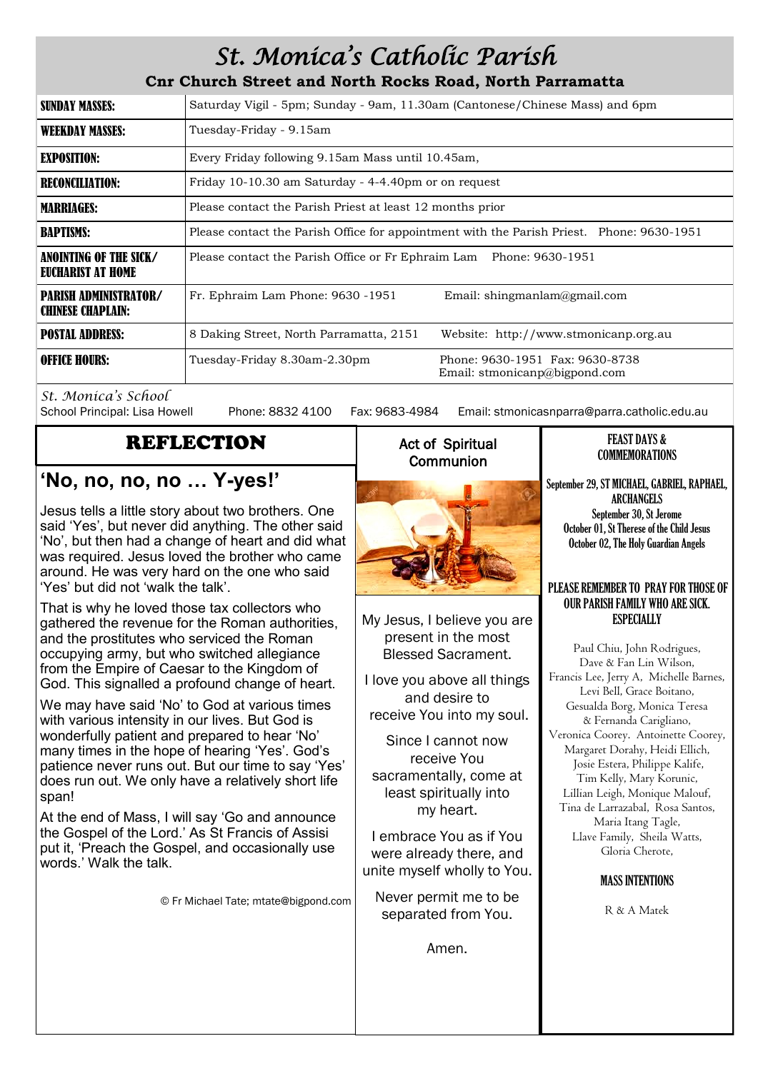## *St. Monica's Catholic Parish*

**Cnr Church Street and North Rocks Road, North Parramatta**

| SUNDAY MASSES:                                           | Saturday Vigil - 5pm; Sunday - 9am, 11.30am (Cantonese/Chinese Mass) and 6pm                     |  |  |
|----------------------------------------------------------|--------------------------------------------------------------------------------------------------|--|--|
| <b>WEEKDAY MASSES:</b>                                   | Tuesday-Friday - 9.15am                                                                          |  |  |
| <b>EXPOSITION:</b>                                       | Every Friday following 9.15am Mass until 10.45am,                                                |  |  |
| <b>RECONCILIATION:</b>                                   | Friday 10-10.30 am Saturday - 4-4.40pm or on request                                             |  |  |
| <b>MARRIAGES:</b>                                        | Please contact the Parish Priest at least 12 months prior                                        |  |  |
| <b>BAPTISMS:</b>                                         | Please contact the Parish Office for appointment with the Parish Priest. Phone: 9630-1951        |  |  |
| ANOINTING OF THE SICK/<br>EUCHARIST AT HOME              | Please contact the Parish Office or Fr Ephraim Lam Phone: 9630-1951                              |  |  |
| <b>PARISH ADMINISTRATOR/</b><br><b>CHINESE CHAPLAIN:</b> | Fr. Ephraim Lam Phone: 9630 -1951<br>Email: shingmanlam@gmail.com                                |  |  |
| <b>POSTAL ADDRESS:</b>                                   | 8 Daking Street, North Parramatta, 2151<br>Website: http://www.stmonicanp.org.au                 |  |  |
| <b>OFFICE HOURS:</b>                                     | Phone: 9630-1951 Fax: 9630-8738<br>Tuesday-Friday 8.30am-2.30pm<br>Email: stmonicanp@bigpond.com |  |  |

*St. Monica's School*

Phone: 8832 4100 Fax: 9683-4984 Email: stmonicasnparra@parra.catholic.edu.au

## REFLECTION

## **'No, no, no, no … Y-yes!'**

Jesus tells a little story about two brothers. One said 'Yes', but never did anything. The other said 'No', but then had a change of heart and did what was required. Jesus loved the brother who came around. He was very hard on the one who said 'Yes' but did not 'walk the talk'.

That is why he loved those tax collectors who gathered the revenue for the Roman authorities, and the prostitutes who serviced the Roman occupying army, but who switched allegiance from the Empire of Caesar to the Kingdom of God. This signalled a profound change of heart.

We may have said 'No' to God at various times with various intensity in our lives. But God is wonderfully patient and prepared to hear 'No' many times in the hope of hearing 'Yes'. God's patience never runs out. But our time to say 'Yes' does run out. We only have a relatively short life span!

At the end of Mass, I will say 'Go and announce the Gospel of the Lord.' As St Francis of Assisi put it, 'Preach the Gospel, and occasionally use words.' Walk the talk.

© Fr Michael Tate; mtate@bigpond.com

## Act of Spiritual **Communion**



My Jesus, I believe you are present in the most Blessed Sacrament.

I love you above all things and desire to receive You into my soul.

Since I cannot now receive You sacramentally, come at least spiritually into my heart.

I embrace You as if You were already there, and unite myself wholly to You.

Never permit me to be separated from You.

Amen.

#### FEAST DAYS & COMMEMORATIONS

September 29, ST MICHAEL, GABRIEL, RAPHAEL, ARCHANGELS September 30, St Jerome October 01, St Therese of the Child Jesus October 02, The Holy Guardian Angels

#### PLEASE REMEMBER TO PRAY FOR THOSE OF OUR PARISH FAMILY WHO ARE SICK. **ESPECIALLY**

Paul Chiu, John Rodrigues, Dave & Fan Lin Wilson, Francis Lee, Jerry A, Michelle Barnes, Levi Bell, Grace Boitano, Gesualda Borg, Monica Teresa & Fernanda Carigliano, Veronica Coorey. Antoinette Coorey, Margaret Dorahy, Heidi Ellich, Josie Estera, Philippe Kalife, Tim Kelly, Mary Korunic, Lillian Leigh, Monique Malouf, Tina de Larrazabal, Rosa Santos, Maria Itang Tagle, Llave Family, Sheila Watts, Gloria Cherote,

## MASS INTENTIONS

R & A Matek